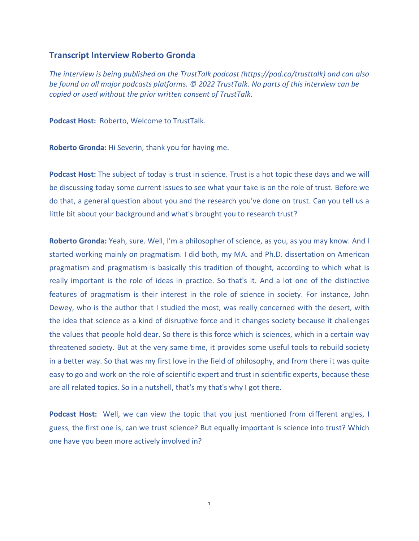## **Transcript Interview Roberto Gronda**

*The interview is being published on the TrustTalk podcast (https://pod.co/trusttalk) and can also be found on all major podcasts platforms. © 2022 TrustTalk. No parts of this interview can be copied or used without the prior written consent of TrustTalk.*

**Podcast Host:** Roberto, Welcome to TrustTalk.

**Roberto Gronda:** Hi Severin, thank you for having me.

**Podcast Host:** The subject of today is trust in science. Trust is a hot topic these days and we will be discussing today some current issues to see what your take is on the role of trust. Before we do that, a general question about you and the research you've done on trust. Can you tell us a little bit about your background and what's brought you to research trust?

**Roberto Gronda:** Yeah, sure. Well, I'm a philosopher of science, as you, as you may know. And I started working mainly on pragmatism. I did both, my MA. and Ph.D. dissertation on American pragmatism and pragmatism is basically this tradition of thought, according to which what is really important is the role of ideas in practice. So that's it. And a lot one of the distinctive features of pragmatism is their interest in the role of science in society. For instance, John Dewey, who is the author that I studied the most, was really concerned with the desert, with the idea that science as a kind of disruptive force and it changes society because it challenges the values that people hold dear. So there is this force which is sciences, which in a certain way threatened society. But at the very same time, it provides some useful tools to rebuild society in a better way. So that was my first love in the field of philosophy, and from there it was quite easy to go and work on the role of scientific expert and trust in scientific experts, because these are all related topics. So in a nutshell, that's my that's why I got there.

**Podcast Host:** Well, we can view the topic that you just mentioned from different angles, I guess, the first one is, can we trust science? But equally important is science into trust? Which one have you been more actively involved in?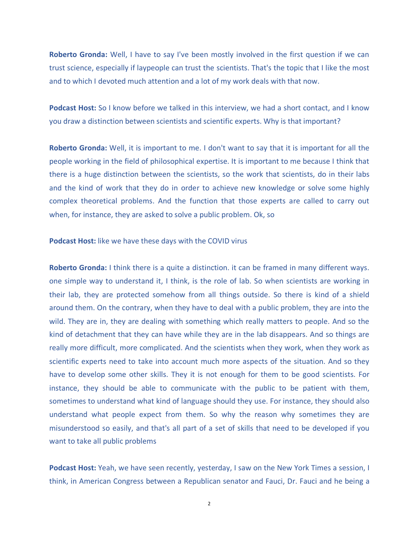**Roberto Gronda:** Well, I have to say I've been mostly involved in the first question if we can trust science, especially if laypeople can trust the scientists. That's the topic that I like the most and to which I devoted much attention and a lot of my work deals with that now.

**Podcast Host:** So I know before we talked in this interview, we had a short contact, and I know you draw a distinction between scientists and scientific experts. Why is that important?

**Roberto Gronda:** Well, it is important to me. I don't want to say that it is important for all the people working in the field of philosophical expertise. It is important to me because I think that there is a huge distinction between the scientists, so the work that scientists, do in their labs and the kind of work that they do in order to achieve new knowledge or solve some highly complex theoretical problems. And the function that those experts are called to carry out when, for instance, they are asked to solve a public problem. Ok, so

**Podcast Host:** like we have these days with the COVID virus

**Roberto Gronda:** I think there is a quite a distinction. it can be framed in many different ways. one simple way to understand it, I think, is the role of lab. So when scientists are working in their lab, they are protected somehow from all things outside. So there is kind of a shield around them. On the contrary, when they have to deal with a public problem, they are into the wild. They are in, they are dealing with something which really matters to people. And so the kind of detachment that they can have while they are in the lab disappears. And so things are really more difficult, more complicated. And the scientists when they work, when they work as scientific experts need to take into account much more aspects of the situation. And so they have to develop some other skills. They it is not enough for them to be good scientists. For instance, they should be able to communicate with the public to be patient with them, sometimes to understand what kind of language should they use. For instance, they should also understand what people expect from them. So why the reason why sometimes they are misunderstood so easily, and that's all part of a set of skills that need to be developed if you want to take all public problems

**Podcast Host:** Yeah, we have seen recently, yesterday, I saw on the New York Times a session, I think, in American Congress between a Republican senator and Fauci, Dr. Fauci and he being a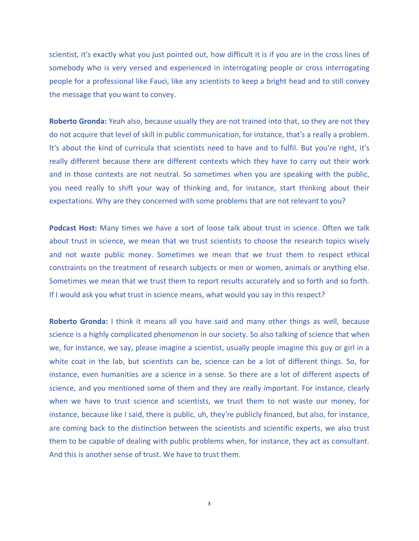scientist, it's exactly what you just pointed out, how difficult it is if you are in the cross lines of somebody who is very versed and experienced in interrogating people or cross interrogating people for a professional like Fauci, like any scientists to keep a bright head and to still convey the message that you want to convey.

**Roberto Gronda:** Yeah also, because usually they are not trained into that, so they are not they do not acquire that level of skill in public communication, for instance, that's a really a problem. It's about the kind of curricula that scientists need to have and to fulfil. But you're right, it's really different because there are different contexts which they have to carry out their work and in those contexts are not neutral. So sometimes when you are speaking with the public, you need really to shift your way of thinking and, for instance, start thinking about their expectations. Why are they concerned with some problems that are not relevant to you?

**Podcast Host:** Many times we have a sort of loose talk about trust in science. Often we talk about trust in science, we mean that we trust scientists to choose the research topics wisely and not waste public money. Sometimes we mean that we trust them to respect ethical constraints on the treatment of research subjects or men or women, animals or anything else. Sometimes we mean that we trust them to report results accurately and so forth and so forth. If I would ask you what trust in science means, what would you say in this respect?

**Roberto Gronda:** I think it means all you have said and many other things as well, because science is a highly complicated phenomenon in our society. So also talking of science that when we, for instance, we say, please imagine a scientist, usually people imagine this guy or girl in a white coat in the lab, but scientists can be, science can be a lot of different things. So, for instance, even humanities are a science in a sense. So there are a lot of different aspects of science, and you mentioned some of them and they are really important. For instance, clearly when we have to trust science and scientists, we trust them to not waste our money, for instance, because like I said, there is public, uh, they're publicly financed, but also, for instance, are coming back to the distinction between the scientists and scientific experts, we also trust them to be capable of dealing with public problems when, for instance, they act as consultant. And this is another sense of trust. We have to trust them.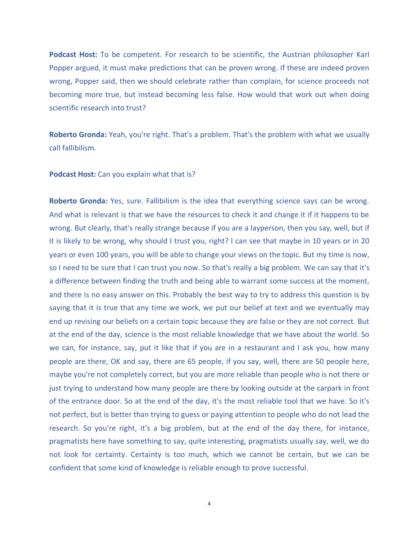**Podcast Host:** To be competent. For research to be scientific, the Austrian philosopher Karl Popper argued, it must make predictions that can be proven wrong. If these are indeed proven wrong, Popper said, then we should celebrate rather than complain, for science proceeds not becoming more true, but instead becoming less false. How would that work out when doing scientific research into trust?

**Roberto Gronda:** Yeah, you're right. That's a problem. That's the problem with what we usually call fallibilism.

**Podcast Host:** Can you explain what that is?

**Roberto Gronda:** Yes, sure. Fallibilism is the idea that everything science says can be wrong. And what is relevant is that we have the resources to check it and change it if it happens to be wrong. But clearly, that's really strange because if you are a layperson, then you say, well, but if it is likely to be wrong, why should I trust you, right? I can see that maybe in 10 years or in 20 years or even 100 years, you will be able to change your views on the topic. But my time is now, so I need to be sure that I can trust you now. So that's really a big problem. We can say that it's a difference between finding the truth and being able to warrant some success at the moment, and there is no easy answer on this. Probably the best way to try to address this question is by saying that it is true that any time we work, we put our belief at text and we eventually may end up revising our beliefs on a certain topic because they are false or they are not correct. But at the end of the day, science is the most reliable knowledge that we have about the world. So we can, for instance, say, put it like that if you are in a restaurant and I ask you, how many people are there, OK and say, there are 65 people, if you say, well, there are 50 people here, maybe you're not completely correct, but you are more reliable than people who is not there or just trying to understand how many people are there by looking outside at the carpark in front of the entrance door. So at the end of the day, it's the most reliable tool that we have. So it's not perfect, but is better than trying to guess or paying attention to people who do not lead the research. So you're right, it's a big problem, but at the end of the day there, for instance, pragmatists here have something to say, quite interesting, pragmatists usually say, well, we do not look for certainty. Certainty is too much, which we cannot be certain, but we can be confident that some kind of knowledge is reliable enough to prove successful.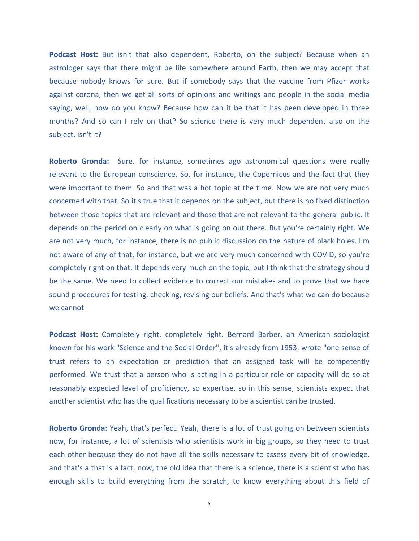**Podcast Host:** But isn't that also dependent, Roberto, on the subject? Because when an astrologer says that there might be life somewhere around Earth, then we may accept that because nobody knows for sure. But if somebody says that the vaccine from Pfizer works against corona, then we get all sorts of opinions and writings and people in the social media saying, well, how do you know? Because how can it be that it has been developed in three months? And so can I rely on that? So science there is very much dependent also on the subject, isn't it?

**Roberto Gronda:** Sure. for instance, sometimes ago astronomical questions were really relevant to the European conscience. So, for instance, the Copernicus and the fact that they were important to them. So and that was a hot topic at the time. Now we are not very much concerned with that. So it's true that it depends on the subject, but there is no fixed distinction between those topics that are relevant and those that are not relevant to the general public. It depends on the period on clearly on what is going on out there. But you're certainly right. We are not very much, for instance, there is no public discussion on the nature of black holes. I'm not aware of any of that, for instance, but we are very much concerned with COVID, so you're completely right on that. It depends very much on the topic, but I think that the strategy should be the same. We need to collect evidence to correct our mistakes and to prove that we have sound procedures for testing, checking, revising our beliefs. And that's what we can do because we cannot

**Podcast Host:** Completely right, completely right. Bernard Barber, an American sociologist known for his work "Science and the Social Order", it's already from 1953, wrote "one sense of trust refers to an expectation or prediction that an assigned task will be competently performed. We trust that a person who is acting in a particular role or capacity will do so at reasonably expected level of proficiency, so expertise, so in this sense, scientists expect that another scientist who has the qualifications necessary to be a scientist can be trusted.

**Roberto Gronda:** Yeah, that's perfect. Yeah, there is a lot of trust going on between scientists now, for instance, a lot of scientists who scientists work in big groups, so they need to trust each other because they do not have all the skills necessary to assess every bit of knowledge. and that's a that is a fact, now, the old idea that there is a science, there is a scientist who has enough skills to build everything from the scratch, to know everything about this field of

5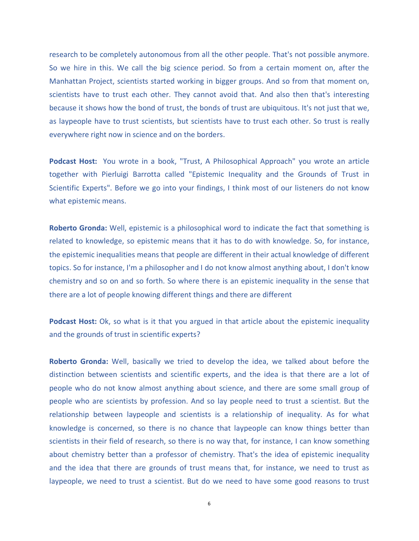research to be completely autonomous from all the other people. That's not possible anymore. So we hire in this. We call the big science period. So from a certain moment on, after the Manhattan Project, scientists started working in bigger groups. And so from that moment on, scientists have to trust each other. They cannot avoid that. And also then that's interesting because it shows how the bond of trust, the bonds of trust are ubiquitous. It's not just that we, as laypeople have to trust scientists, but scientists have to trust each other. So trust is really everywhere right now in science and on the borders.

**Podcast Host:** You wrote in a book, "Trust, A Philosophical Approach" you wrote an article together with Pierluigi Barrotta called "Epistemic Inequality and the Grounds of Trust in Scientific Experts". Before we go into your findings, I think most of our listeners do not know what epistemic means.

**Roberto Gronda:** Well, epistemic is a philosophical word to indicate the fact that something is related to knowledge, so epistemic means that it has to do with knowledge. So, for instance, the epistemic inequalities means that people are different in their actual knowledge of different topics. So for instance, I'm a philosopher and I do not know almost anything about, I don't know chemistry and so on and so forth. So where there is an epistemic inequality in the sense that there are a lot of people knowing different things and there are different

**Podcast Host:** Ok, so what is it that you argued in that article about the epistemic inequality and the grounds of trust in scientific experts?

**Roberto Gronda:** Well, basically we tried to develop the idea, we talked about before the distinction between scientists and scientific experts, and the idea is that there are a lot of people who do not know almost anything about science, and there are some small group of people who are scientists by profession. And so lay people need to trust a scientist. But the relationship between laypeople and scientists is a relationship of inequality. As for what knowledge is concerned, so there is no chance that laypeople can know things better than scientists in their field of research, so there is no way that, for instance, I can know something about chemistry better than a professor of chemistry. That's the idea of epistemic inequality and the idea that there are grounds of trust means that, for instance, we need to trust as laypeople, we need to trust a scientist. But do we need to have some good reasons to trust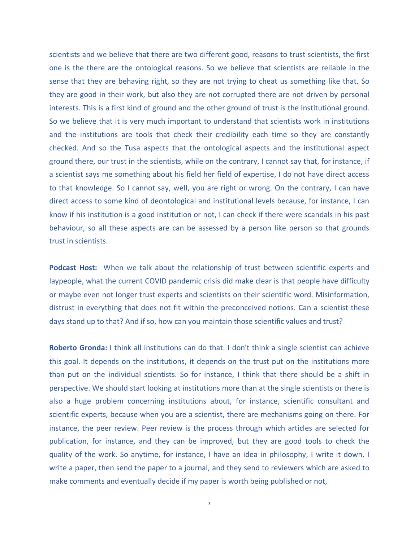scientists and we believe that there are two different good, reasons to trust scientists, the first one is the there are the ontological reasons. So we believe that scientists are reliable in the sense that they are behaving right, so they are not trying to cheat us something like that. So they are good in their work, but also they are not corrupted there are not driven by personal interests. This is a first kind of ground and the other ground of trust is the institutional ground. So we believe that it is very much important to understand that scientists work in institutions and the institutions are tools that check their credibility each time so they are constantly checked. And so the Tusa aspects that the ontological aspects and the institutional aspect ground there, our trust in the scientists, while on the contrary, I cannot say that, for instance, if a scientist says me something about his field her field of expertise, I do not have direct access to that knowledge. So I cannot say, well, you are right or wrong. On the contrary, I can have direct access to some kind of deontological and institutional levels because, for instance, I can know if his institution is a good institution or not, I can check if there were scandals in his past behaviour, so all these aspects are can be assessed by a person like person so that grounds trust in scientists.

**Podcast Host:** When we talk about the relationship of trust between scientific experts and laypeople, what the current COVID pandemic crisis did make clear is that people have difficulty or maybe even not longer trust experts and scientists on their scientific word. Misinformation, distrust in everything that does not fit within the preconceived notions. Can a scientist these days stand up to that? And if so, how can you maintain those scientific values and trust?

**Roberto Gronda:** I think all institutions can do that. I don't think a single scientist can achieve this goal. It depends on the institutions, it depends on the trust put on the institutions more than put on the individual scientists. So for instance, I think that there should be a shift in perspective. We should start looking at institutions more than at the single scientists or there is also a huge problem concerning institutions about, for instance, scientific consultant and scientific experts, because when you are a scientist, there are mechanisms going on there. For instance, the peer review. Peer review is the process through which articles are selected for publication, for instance, and they can be improved, but they are good tools to check the quality of the work. So anytime, for instance, I have an idea in philosophy, I write it down, I write a paper, then send the paper to a journal, and they send to reviewers which are asked to make comments and eventually decide if my paper is worth being published or not,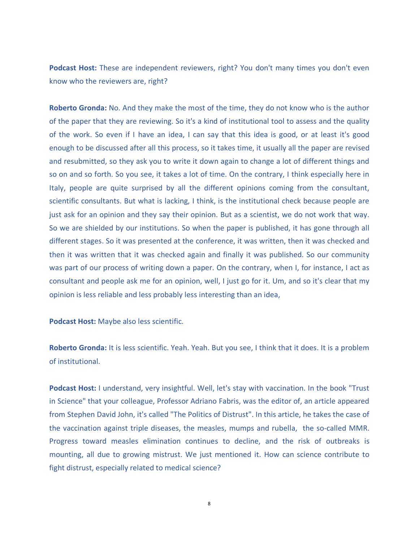**Podcast Host:** These are independent reviewers, right? You don't many times you don't even know who the reviewers are, right?

**Roberto Gronda:** No. And they make the most of the time, they do not know who is the author of the paper that they are reviewing. So it's a kind of institutional tool to assess and the quality of the work. So even if I have an idea, I can say that this idea is good, or at least it's good enough to be discussed after all this process, so it takes time, it usually all the paper are revised and resubmitted, so they ask you to write it down again to change a lot of different things and so on and so forth. So you see, it takes a lot of time. On the contrary, I think especially here in Italy, people are quite surprised by all the different opinions coming from the consultant, scientific consultants. But what is lacking, I think, is the institutional check because people are just ask for an opinion and they say their opinion. But as a scientist, we do not work that way. So we are shielded by our institutions. So when the paper is published, it has gone through all different stages. So it was presented at the conference, it was written, then it was checked and then it was written that it was checked again and finally it was published. So our community was part of our process of writing down a paper. On the contrary, when I, for instance, I act as consultant and people ask me for an opinion, well, I just go for it. Um, and so it's clear that my opinion is less reliable and less probably less interesting than an idea,

**Podcast Host:** Maybe also less scientific.

**Roberto Gronda:** It is less scientific. Yeah. Yeah. But you see, I think that it does. It is a problem of institutional.

**Podcast Host:** I understand, very insightful. Well, let's stay with vaccination. In the book "Trust in Science" that your colleague, Professor Adriano Fabris, was the editor of, an article appeared from Stephen David John, it's called "The Politics of Distrust". In this article, he takes the case of the vaccination against triple diseases, the measles, mumps and rubella, the so-called MMR. Progress toward measles elimination continues to decline, and the risk of outbreaks is mounting, all due to growing mistrust. We just mentioned it. How can science contribute to fight distrust, especially related to medical science?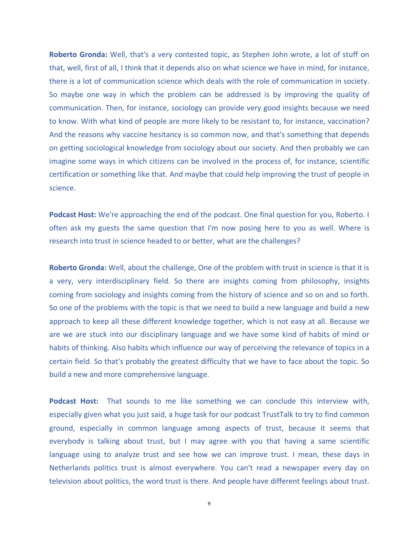**Roberto Gronda:** Well, that's a very contested topic, as Stephen John wrote, a lot of stuff on that, well, first of all, I think that it depends also on what science we have in mind, for instance, there is a lot of communication science which deals with the role of communication in society. So maybe one way in which the problem can be addressed is by improving the quality of communication. Then, for instance, sociology can provide very good insights because we need to know. With what kind of people are more likely to be resistant to, for instance, vaccination? And the reasons why vaccine hesitancy is so common now, and that's something that depends on getting sociological knowledge from sociology about our society. And then probably we can imagine some ways in which citizens can be involved in the process of, for instance, scientific certification or something like that. And maybe that could help improving the trust of people in science.

**Podcast Host:** We're approaching the end of the podcast. One final question for you, Roberto. I often ask my guests the same question that I'm now posing here to you as well. Where is research into trust in science headed to or better, what are the challenges?

**Roberto Gronda:** Well, about the challenge, One of the problem with trust in science is that it is a very, very interdisciplinary field. So there are insights coming from philosophy, insights coming from sociology and insights coming from the history of science and so on and so forth. So one of the problems with the topic is that we need to build a new language and build a new approach to keep all these different knowledge together, which is not easy at all. Because we are we are stuck into our disciplinary language and we have some kind of habits of mind or habits of thinking. Also habits which influence our way of perceiving the relevance of topics in a certain field. So that's probably the greatest difficulty that we have to face about the topic. So build a new and more comprehensive language.

**Podcast Host:** That sounds to me like something we can conclude this interview with, especially given what you just said, a huge task for our podcast TrustTalk to try to find common ground, especially in common language among aspects of trust, because it seems that everybody is talking about trust, but I may agree with you that having a same scientific language using to analyze trust and see how we can improve trust. I mean, these days in Netherlands politics trust is almost everywhere. You can't read a newspaper every day on television about politics, the word trust is there. And people have different feelings about trust.

9